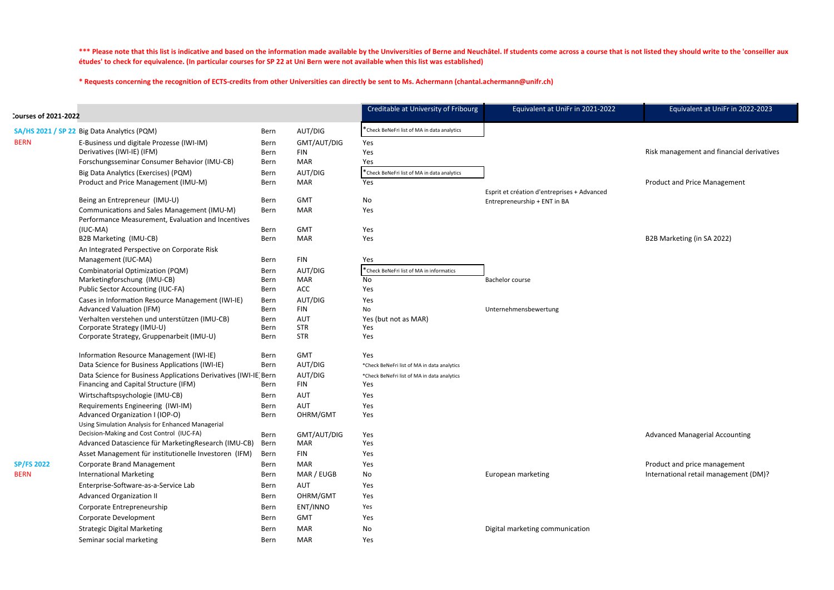\*\*\* Please note that this list is indicative and based on the information made available by the Unviversities of Berne and Neuchâtel. If students come across a course that is not listed they should write to the 'conseiller études' to check for equivalence. (In particular courses for SP 22 at Uni Bern were not available when this list was established)

\* Requests concerning the recognition of ECTS-credits from other Universities can directly be sent to Ms. Achermann (chantal.achermann@unifr.ch)

| *Check BeNeFri list of MA in data analytics<br>AUT/DIG<br>SA/HS 2021 / SP 22 Big Data Analytics (PQM)<br>Bern<br><b>BERN</b><br>E-Business und digitale Prozesse (IWI-IM)<br>GMT/AUT/DIG<br>Yes<br>Bern<br>Derivatives (IWI-IE) (IFM)<br><b>FIN</b><br>Yes<br>Bern<br>Forschungsseminar Consumer Behavior (IMU-CB)<br><b>MAR</b><br>Yes<br>Bern<br>AUT/DIG<br>*Check BeNeFri list of MA in data analytics<br>Big Data Analytics (Exercises) (PQM)<br>Bern<br><b>MAR</b><br>Product and Price Management (IMU-M)<br>Yes<br><b>Bern</b> |  |
|---------------------------------------------------------------------------------------------------------------------------------------------------------------------------------------------------------------------------------------------------------------------------------------------------------------------------------------------------------------------------------------------------------------------------------------------------------------------------------------------------------------------------------------|--|
|                                                                                                                                                                                                                                                                                                                                                                                                                                                                                                                                       |  |
|                                                                                                                                                                                                                                                                                                                                                                                                                                                                                                                                       |  |
|                                                                                                                                                                                                                                                                                                                                                                                                                                                                                                                                       |  |
|                                                                                                                                                                                                                                                                                                                                                                                                                                                                                                                                       |  |
|                                                                                                                                                                                                                                                                                                                                                                                                                                                                                                                                       |  |
|                                                                                                                                                                                                                                                                                                                                                                                                                                                                                                                                       |  |
| Esprit et création d'entreprises + Advanced                                                                                                                                                                                                                                                                                                                                                                                                                                                                                           |  |
| Being an Entrepreneur (IMU-U)<br><b>GMT</b><br>No<br>Bern<br>Entrepreneurship + ENT in BA<br><b>MAR</b>                                                                                                                                                                                                                                                                                                                                                                                                                               |  |
| Communications and Sales Management (IMU-M)<br>Yes<br>Bern<br>Performance Measurement, Evaluation and Incentives                                                                                                                                                                                                                                                                                                                                                                                                                      |  |
| $(IUC-MA)$<br><b>GMT</b><br>Bern<br>Yes                                                                                                                                                                                                                                                                                                                                                                                                                                                                                               |  |
| <b>MAR</b><br>B2B Marketing (IMU-CB)<br>Yes<br>Bern                                                                                                                                                                                                                                                                                                                                                                                                                                                                                   |  |
| An Integrated Perspective on Corporate Risk                                                                                                                                                                                                                                                                                                                                                                                                                                                                                           |  |
| Management (IUC-MA)<br><b>FIN</b><br>Yes<br><b>Bern</b>                                                                                                                                                                                                                                                                                                                                                                                                                                                                               |  |
| <b>Combinatorial Optimization (PQM)</b><br>AUT/DIG<br>*Check BeNeFri list of MA in informatics<br>Bern<br>Marketingforschung (IMU-CB)<br><b>MAR</b><br>No<br><b>Bern</b>                                                                                                                                                                                                                                                                                                                                                              |  |
| <b>Bachelor course</b><br>Public Sector Accounting (IUC-FA)<br><b>ACC</b><br>Yes<br><b>Bern</b>                                                                                                                                                                                                                                                                                                                                                                                                                                       |  |
| AUT/DIG<br>Cases in Information Resource Management (IWI-IE)<br>Yes<br>Bern                                                                                                                                                                                                                                                                                                                                                                                                                                                           |  |
| No<br>Unternehmensbewertung<br><b>Advanced Valuation (IFM)</b><br><b>FIN</b><br>Bern                                                                                                                                                                                                                                                                                                                                                                                                                                                  |  |
| Verhalten verstehen und unterstützen (IMU-CB)<br><b>AUT</b><br>Yes (but not as MAR)<br>Bern                                                                                                                                                                                                                                                                                                                                                                                                                                           |  |
| <b>STR</b><br>Yes<br>Corporate Strategy (IMU-U)<br>Bern                                                                                                                                                                                                                                                                                                                                                                                                                                                                               |  |
| <b>STR</b><br>Corporate Strategy, Gruppenarbeit (IMU-U)<br>Yes<br><b>Bern</b>                                                                                                                                                                                                                                                                                                                                                                                                                                                         |  |
| <b>GMT</b><br>Yes<br>Information Resource Management (IWI-IE)<br>Bern                                                                                                                                                                                                                                                                                                                                                                                                                                                                 |  |
| Data Science for Business Applications (IWI-IE)<br>AUT/DIG<br>Bern<br>*Check BeNeFri list of MA in data analytics                                                                                                                                                                                                                                                                                                                                                                                                                     |  |
| Data Science for Business Applications Derivatives (IWI-IE Bern<br>AUT/DIG<br>*Check BeNeFri list of MA in data analytics                                                                                                                                                                                                                                                                                                                                                                                                             |  |
| Financing and Capital Structure (IFM)<br><b>FIN</b><br>Yes<br><b>Bern</b>                                                                                                                                                                                                                                                                                                                                                                                                                                                             |  |
| Wirtschaftspsychologie (IMU-CB)<br><b>AUT</b><br>Yes<br>Bern                                                                                                                                                                                                                                                                                                                                                                                                                                                                          |  |
| Requirements Engineering (IWI-IM)<br><b>AUT</b><br>Yes<br>Bern                                                                                                                                                                                                                                                                                                                                                                                                                                                                        |  |
| Advanced Organization I (IOP-O)<br>OHRM/GMT<br>Bern<br>Yes<br>Using Simulation Analysis for Enhanced Managerial                                                                                                                                                                                                                                                                                                                                                                                                                       |  |
| Decision-Making and Cost Control (IUC-FA)<br>GMT/AUT/DIG<br>Bern<br>Yes                                                                                                                                                                                                                                                                                                                                                                                                                                                               |  |
| Advanced Datascience für MarketingResearch (IMU-CB)<br><b>MAR</b><br>Yes<br>Bern                                                                                                                                                                                                                                                                                                                                                                                                                                                      |  |
| Asset Management für institutionelle Investoren (IFM)<br><b>FIN</b><br>Yes<br>Bern                                                                                                                                                                                                                                                                                                                                                                                                                                                    |  |
| <b>SP/FS 2022</b><br>Corporate Brand Management<br><b>MAR</b><br>Yes<br>Bern                                                                                                                                                                                                                                                                                                                                                                                                                                                          |  |
| European marketing<br><b>International Marketing</b><br>MAR / EUGB<br><b>BERN</b><br>Bern<br>No                                                                                                                                                                                                                                                                                                                                                                                                                                       |  |
| Enterprise-Software-as-a-Service Lab<br><b>AUT</b><br>Yes<br>Bern                                                                                                                                                                                                                                                                                                                                                                                                                                                                     |  |
| <b>Advanced Organization II</b><br>OHRM/GMT<br>Yes<br>Bern                                                                                                                                                                                                                                                                                                                                                                                                                                                                            |  |
| Corporate Entrepreneurship<br>ENT/INNO<br>Yes<br><b>Bern</b>                                                                                                                                                                                                                                                                                                                                                                                                                                                                          |  |
| Corporate Development<br><b>GMT</b><br>Yes<br>Bern                                                                                                                                                                                                                                                                                                                                                                                                                                                                                    |  |
| <b>Strategic Digital Marketing</b><br><b>MAR</b><br>No<br>Digital marketing communication<br>Bern                                                                                                                                                                                                                                                                                                                                                                                                                                     |  |
| Seminar social marketing<br><b>MAR</b><br>Yes<br>Bern                                                                                                                                                                                                                                                                                                                                                                                                                                                                                 |  |

Equivalent at UniFr in 2022‐2023

Risk management and financial derivatives

Product and Price Management

B2B Marketing (in SA 2022)

Advanced Managerial Accounting

**Product and price management** International retail management (DM)?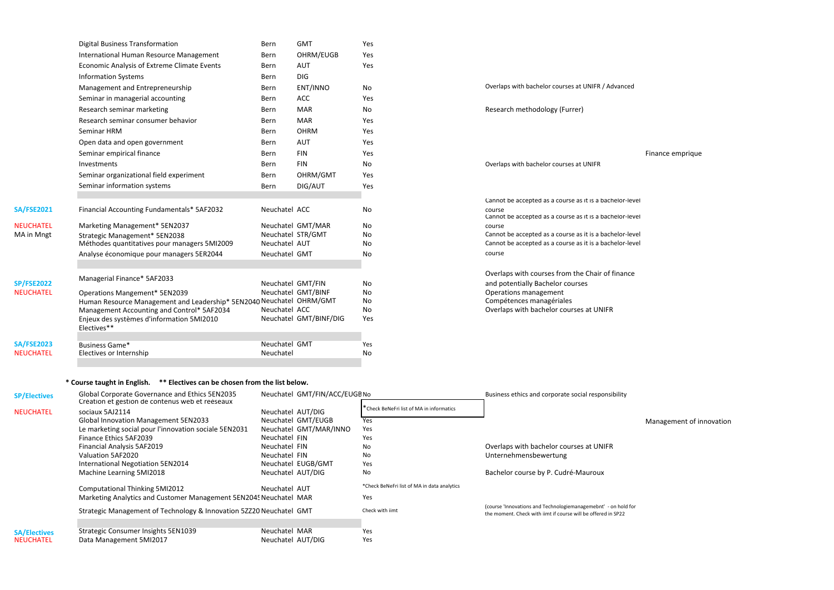| o      | Overlaps with bachelor courses at UNIFR / Advanced       |
|--------|----------------------------------------------------------|
| эs     |                                                          |
| 0      | Research methodology (Furrer)                            |
| эs     |                                                          |
| эs     |                                                          |
| эs     |                                                          |
| эs     |                                                          |
| O      | Overlaps with bachelor courses at UNIFR                  |
| эs     |                                                          |
| эs     |                                                          |
|        | Cannot be accepted as a course as it is a bachelor-level |
| o      | course                                                   |
|        | Cannot be accepted as a course as it is a bachelor-level |
| o      | course                                                   |
| 0      | Cannot be accepted as a course as it is a bachelor-level |
| o      | Cannot be accepted as a course as it is a bachelor-level |
| о      | course                                                   |
|        | Overlaps with courses from the Chair of finance          |
|        | and potentially Bachelor courses                         |
| 0<br>о | Operations management                                    |
| o      | Compétences managériales                                 |
|        |                                                          |

|                   | <b>Digital Business Transformation</b>                                        | Bern                               | <b>GMT</b>             | Yes      |                                                                                                                      |                  |
|-------------------|-------------------------------------------------------------------------------|------------------------------------|------------------------|----------|----------------------------------------------------------------------------------------------------------------------|------------------|
|                   | International Human Resource Management                                       | <b>Bern</b>                        | OHRM/EUGB              | Yes      |                                                                                                                      |                  |
|                   | Economic Analysis of Extreme Climate Events                                   | Bern                               | <b>AUT</b>             | Yes      |                                                                                                                      |                  |
|                   | <b>Information Systems</b>                                                    | Bern                               | <b>DIG</b>             |          |                                                                                                                      |                  |
|                   | Management and Entrepreneurship                                               | Bern                               | ENT/INNO               | No       | Overlaps with bachelor courses at UNIFR / Advanced                                                                   |                  |
|                   | Seminar in managerial accounting                                              | Bern                               | <b>ACC</b>             | Yes      |                                                                                                                      |                  |
|                   | Research seminar marketing                                                    | Bern                               | <b>MAR</b>             | No       | Research methodology (Furrer)                                                                                        |                  |
|                   | Research seminar consumer behavior                                            | Bern                               | <b>MAR</b>             | Yes      |                                                                                                                      |                  |
|                   | Seminar HRM                                                                   | Bern                               | <b>OHRM</b>            | Yes      |                                                                                                                      |                  |
|                   | Open data and open government                                                 | <b>Bern</b>                        | <b>AUT</b>             | Yes      |                                                                                                                      |                  |
|                   | Seminar empirical finance                                                     | Bern                               | <b>FIN</b>             | Yes      |                                                                                                                      | Finance emprique |
|                   | Investments                                                                   | Bern                               | <b>FIN</b>             | No       | Overlaps with bachelor courses at UNIFR                                                                              |                  |
|                   | Seminar organizational field experiment                                       | Bern                               | OHRM/GMT               | Yes      |                                                                                                                      |                  |
|                   | Seminar information systems                                                   | Bern                               | DIG/AUT                | Yes      |                                                                                                                      |                  |
|                   |                                                                               |                                    |                        |          | Cannot be accepted as a course as it is a bachelor-level                                                             |                  |
| <b>SA/FSE2021</b> | Financial Accounting Fundamentals* 5AF2032                                    | Neuchatel ACC                      |                        | No       | course<br>Cannot be accepted as a course as it is a bachelor-level                                                   |                  |
| <b>NEUCHATEL</b>  | Marketing Management* 5EN2037                                                 |                                    | Neuchatel GMT/MAR      | No       | course                                                                                                               |                  |
| MA in Mngt        | Strategic Management* 5EN2038<br>Méthodes quantitatives pour managers 5MI2009 | Neuchatel STR/GMT<br>Neuchatel AUT |                        | No<br>No | Cannot be accepted as a course as it is a bachelor-level<br>Cannot be accepted as a course as it is a bachelor-level |                  |
|                   | Analyse économique pour managers 5ER2044                                      | Neuchatel GMT                      |                        | No       | course                                                                                                               |                  |
| <b>SP/FSE2022</b> | Managerial Finance* 5AF2033                                                   | Neuchatel GMT/FIN                  |                        | No       | Overlaps with courses from the Chair of finance<br>and potentially Bachelor courses                                  |                  |
| <b>NEUCHATEL</b>  | <b>Operations Mangement* 5EN2039</b>                                          |                                    | Neuchatel GMT/BINF     | No       | Operations management                                                                                                |                  |
|                   | Human Resource Management and Leadership* 5EN2040 Neuchatel OHRM/GMT          |                                    |                        | No       | Compétences managériales                                                                                             |                  |
|                   | Management Accounting and Control* 5AF2034                                    | Neuchatel ACC                      |                        | No       | Overlaps with bachelor courses at UNIFR                                                                              |                  |
|                   | Enjeux des systèmes d'information 5MI2010<br>Electives**                      |                                    | Neuchatel GMT/BINF/DIG | Yes      |                                                                                                                      |                  |
| <b>SA/FSE2023</b> | <b>Business Game*</b>                                                         | Neuchatel GMT                      |                        | Yes      |                                                                                                                      |                  |
| <b>NEUCHATEL</b>  | Electives or Internship                                                       | Neuchatel                          |                        | No       |                                                                                                                      |                  |
|                   |                                                                               |                                    |                        |          |                                                                                                                      |                  |

| <b>SP/Electives</b> | Global Corporate Governance and Ethics 5EN2035                      |                   | Neuchatel GMT/FIN/ACC/EUGE No |                                             | Business ethics and corporate social responsibility                                                                             |
|---------------------|---------------------------------------------------------------------|-------------------|-------------------------------|---------------------------------------------|---------------------------------------------------------------------------------------------------------------------------------|
| <b>NEUCHATEL</b>    | Création et gestion de contenus web et reéseaux<br>sociaux 5AJ2114  | Neuchatel AUT/DIG |                               | * Check BeNeFri list of MA in informatics   |                                                                                                                                 |
|                     | <b>Global Innovation Management 5EN2033</b>                         |                   | Neuchatel GMT/EUGB            | Yes                                         |                                                                                                                                 |
|                     | Le marketing social pour l'innovation sociale 5EN2031               |                   | Neuchatel GMT/MAR/INNO        | Yes                                         |                                                                                                                                 |
|                     | Finance Ethics 5AF2039                                              | Neuchatel FIN     |                               | Yes                                         |                                                                                                                                 |
|                     | Financial Analysis 5AF2019                                          | Neuchatel FIN     |                               | <b>No</b>                                   | Overlaps with bachelor courses at UNIFR                                                                                         |
|                     | Valuation 5AF2020                                                   | Neuchatel FIN     |                               | <b>No</b>                                   | Unternehmensbewertung                                                                                                           |
|                     | International Negotiation 5EN2014                                   |                   | Neuchatel EUGB/GMT            | Yes                                         |                                                                                                                                 |
|                     | Machine Learning 5MI2018                                            | Neuchatel AUT/DIG |                               | <b>No</b>                                   | Bachelor course by P. Cudré-Mauroux                                                                                             |
|                     | <b>Computational Thinking 5MI2012</b>                               | Neuchatel AUT     |                               | *Check BeNeFri list of MA in data analytics |                                                                                                                                 |
|                     | Marketing Analytics and Customer Management 5EN2045 Neuchatel MAR   |                   |                               | Yes                                         |                                                                                                                                 |
|                     | Strategic Management of Technology & Innovation 52220 Neuchatel GMT |                   |                               | Check with jimt                             | (course 'Innovations and Technologiemanagemebnt' - on hold for<br>the moment. Check with jimt if course will be offered in SP22 |
|                     |                                                                     |                   |                               |                                             |                                                                                                                                 |
| <b>SA/Electives</b> | Strategic Consumer Insights 5EN1039                                 | Neuchatel MAR     |                               | Yes                                         |                                                                                                                                 |
| <b>NEUCHATEL</b>    | Data Management 5MI2017                                             | Neuchatel AUT/DIG |                               | Yes                                         |                                                                                                                                 |

Management of innovation